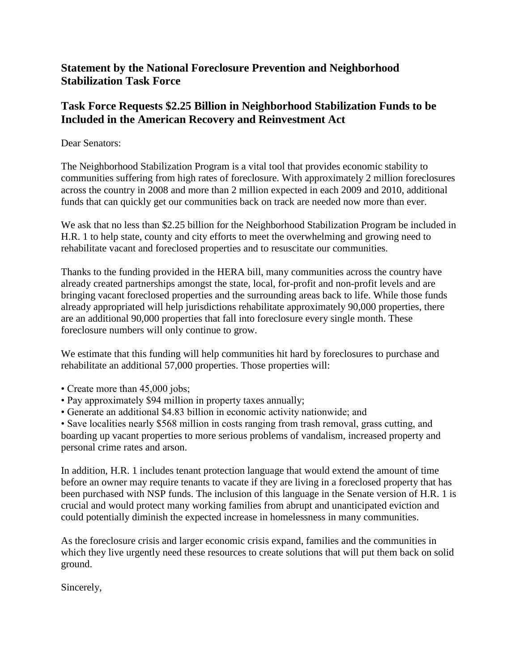## **Statement by the National Foreclosure Prevention and Neighborhood Stabilization Task Force**

## **Task Force Requests \$2.25 Billion in Neighborhood Stabilization Funds to be Included in the American Recovery and Reinvestment Act**

## Dear Senators:

The Neighborhood Stabilization Program is a vital tool that provides economic stability to communities suffering from high rates of foreclosure. With approximately 2 million foreclosures across the country in 2008 and more than 2 million expected in each 2009 and 2010, additional funds that can quickly get our communities back on track are needed now more than ever.

We ask that no less than \$2.25 billion for the Neighborhood Stabilization Program be included in H.R. 1 to help state, county and city efforts to meet the overwhelming and growing need to rehabilitate vacant and foreclosed properties and to resuscitate our communities.

Thanks to the funding provided in the HERA bill, many communities across the country have already created partnerships amongst the state, local, for-profit and non-profit levels and are bringing vacant foreclosed properties and the surrounding areas back to life. While those funds already appropriated will help jurisdictions rehabilitate approximately 90,000 properties, there are an additional 90,000 properties that fall into foreclosure every single month. These foreclosure numbers will only continue to grow.

We estimate that this funding will help communities hit hard by foreclosures to purchase and rehabilitate an additional 57,000 properties. Those properties will:

- Create more than 45,000 jobs;
- Pay approximately \$94 million in property taxes annually;
- Generate an additional \$4.83 billion in economic activity nationwide; and

• Save localities nearly \$568 million in costs ranging from trash removal, grass cutting, and boarding up vacant properties to more serious problems of vandalism, increased property and personal crime rates and arson.

In addition, H.R. 1 includes tenant protection language that would extend the amount of time before an owner may require tenants to vacate if they are living in a foreclosed property that has been purchased with NSP funds. The inclusion of this language in the Senate version of H.R. 1 is crucial and would protect many working families from abrupt and unanticipated eviction and could potentially diminish the expected increase in homelessness in many communities.

As the foreclosure crisis and larger economic crisis expand, families and the communities in which they live urgently need these resources to create solutions that will put them back on solid ground.

Sincerely,